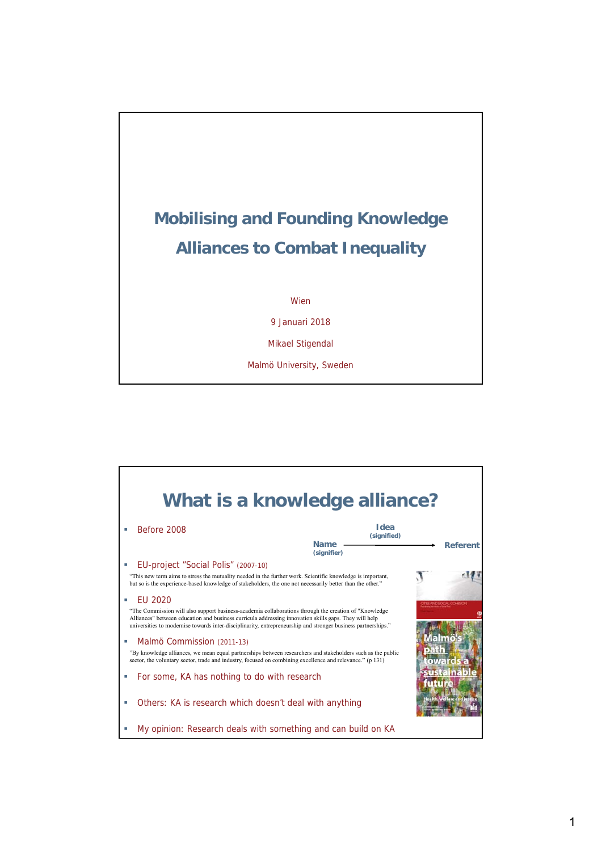## **Mobilising and Founding Knowledge Alliances to Combat Inequality**

Wien

9 Januari 2018

Mikael Stigendal

Malmö University, Sweden

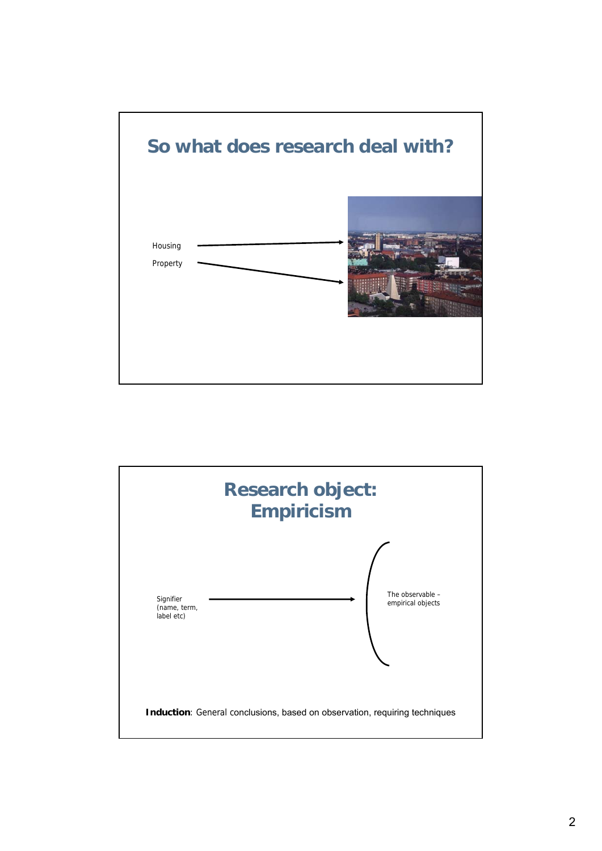

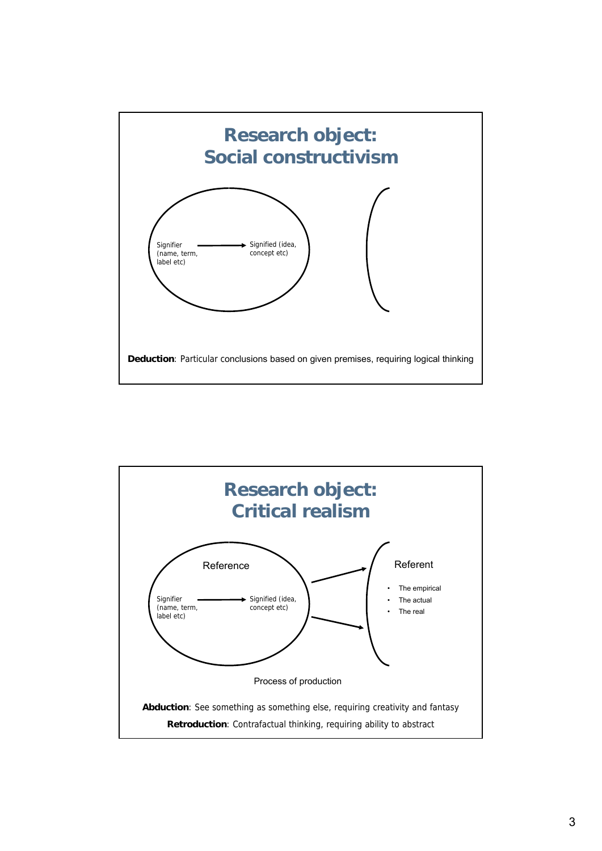

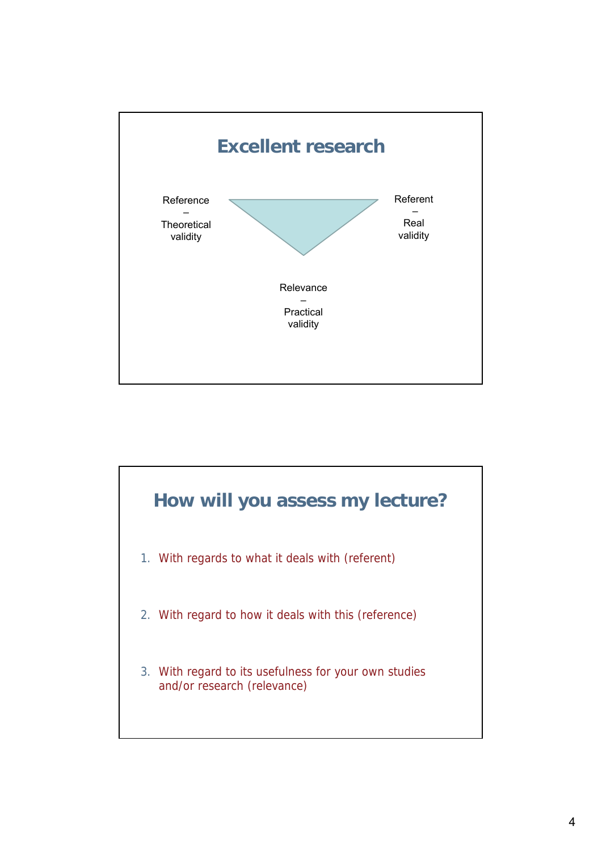

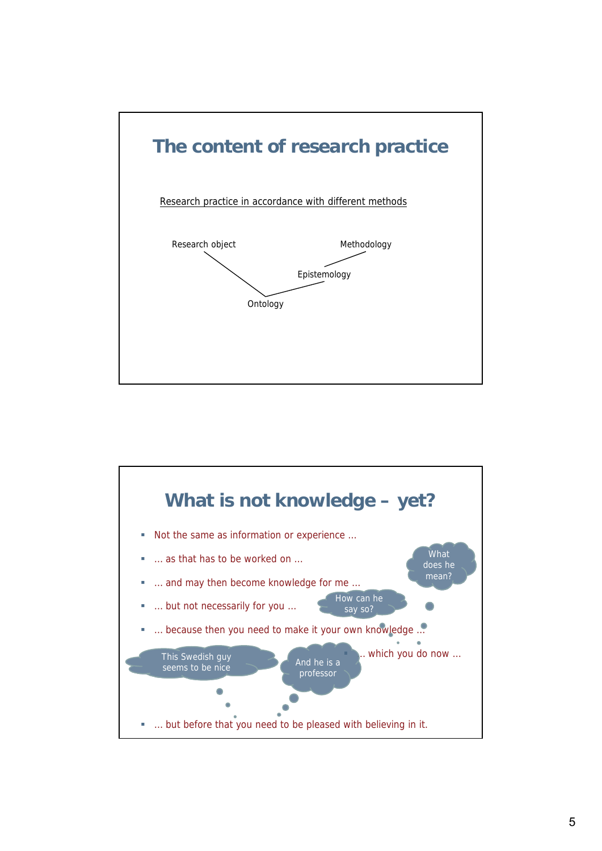

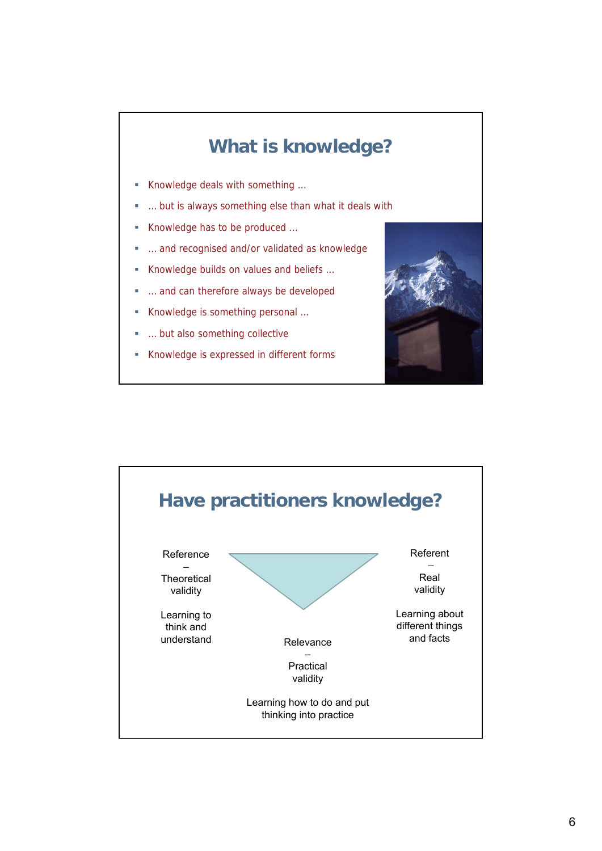## **What is knowledge?** ■ Knowledge deals with something ... … but is always something else than what it deals with Knowledge has to be produced … … and recognised and/or validated as knowledge Knowledge builds on values and beliefs … … and can therefore always be developed Knowledge is something personal … … but also something collective Knowledge is expressed in different forms

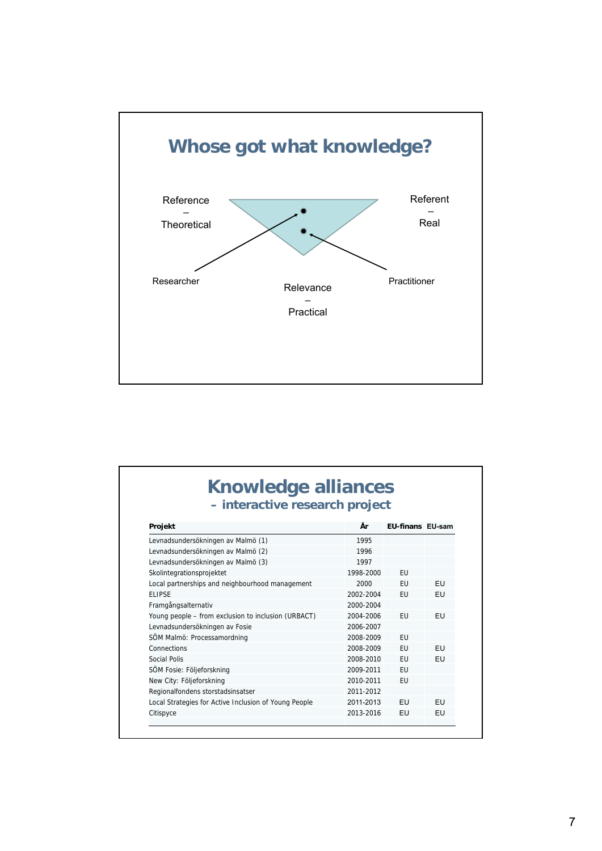

| - interactive research project                        |           |                         |           |
|-------------------------------------------------------|-----------|-------------------------|-----------|
| Projekt                                               | År        | <b>EU-finans EU-sam</b> |           |
| Levnadsundersökningen av Malmö (1)                    | 1995      |                         |           |
| Levnadsundersökningen av Malmö (2)                    | 1996      |                         |           |
| Levnadsundersökningen av Malmö (3)                    | 1997      |                         |           |
| Skolintegrationsprojektet                             | 1998-2000 | <b>EU</b>               |           |
| Local partnerships and neighbourhood management       | 2000      | <b>FU</b>               | <b>FU</b> |
| <b>FI IPSE</b>                                        | 2002-2004 | EU                      | EU        |
| Framgångsalternativ                                   | 2000-2004 |                         |           |
| Young people - from exclusion to inclusion (URBACT)   | 2004-2006 | <b>EU</b>               | EU        |
| Levnadsundersökningen av Fosie                        | 2006-2007 |                         |           |
| SÖM Malmö: Processamordning                           | 2008-2009 | EU                      |           |
| Connections                                           | 2008-2009 | <b>EU</b>               | <b>FU</b> |
| Social Polis                                          | 2008-2010 | EU                      | EU        |
| SÖM Fosie: Följeforskning                             | 2009-2011 | EU                      |           |
| New City: Följeforskning                              | 2010-2011 | <b>EU</b>               |           |
| Regionalfondens storstadsinsatser                     | 2011-2012 |                         |           |
| Local Strategies for Active Inclusion of Young People | 2011-2013 | EU                      | EU        |
| Citispyce                                             | 2013-2016 | EU                      | EU        |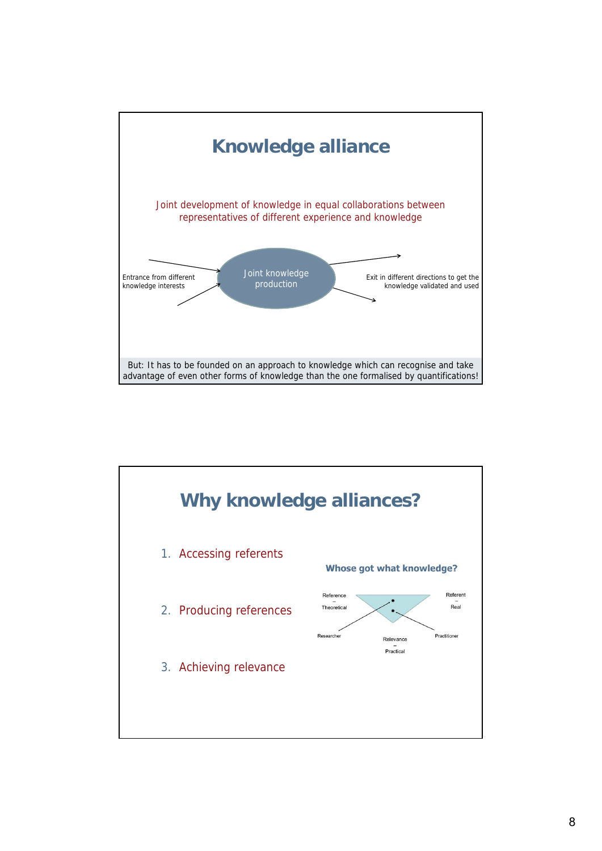

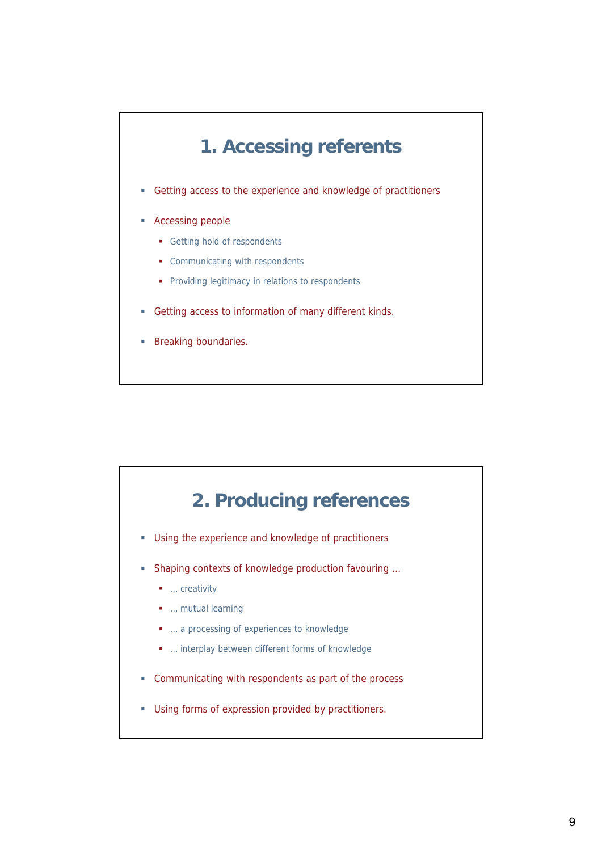